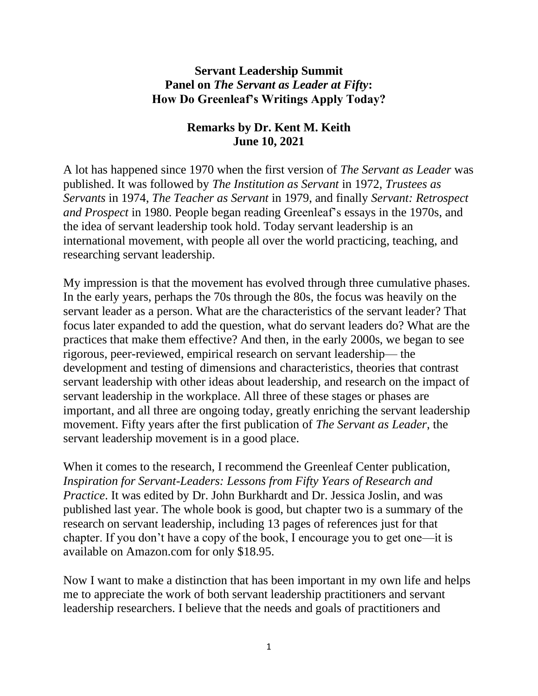## **Servant Leadership Summit Panel on** *The Servant as Leader at Fifty***: How Do Greenleaf's Writings Apply Today?**

## **Remarks by Dr. Kent M. Keith June 10, 2021**

A lot has happened since 1970 when the first version of *The Servant as Leader* was published. It was followed by *The Institution as Servant* in 1972, *Trustees as Servants* in 1974, *The Teacher as Servant* in 1979, and finally *Servant: Retrospect and Prospect* in 1980. People began reading Greenleaf's essays in the 1970s, and the idea of servant leadership took hold. Today servant leadership is an international movement, with people all over the world practicing, teaching, and researching servant leadership.

My impression is that the movement has evolved through three cumulative phases. In the early years, perhaps the 70s through the 80s, the focus was heavily on the servant leader as a person. What are the characteristics of the servant leader? That focus later expanded to add the question, what do servant leaders do? What are the practices that make them effective? And then, in the early 2000s, we began to see rigorous, peer-reviewed, empirical research on servant leadership— the development and testing of dimensions and characteristics, theories that contrast servant leadership with other ideas about leadership, and research on the impact of servant leadership in the workplace. All three of these stages or phases are important, and all three are ongoing today, greatly enriching the servant leadership movement. Fifty years after the first publication of *The Servant as Leader*, the servant leadership movement is in a good place.

When it comes to the research, I recommend the Greenleaf Center publication, *Inspiration for Servant-Leaders: Lessons from Fifty Years of Research and Practice*. It was edited by Dr. John Burkhardt and Dr. Jessica Joslin, and was published last year. The whole book is good, but chapter two is a summary of the research on servant leadership, including 13 pages of references just for that chapter. If you don't have a copy of the book, I encourage you to get one—it is available on Amazon.com for only \$18.95.

Now I want to make a distinction that has been important in my own life and helps me to appreciate the work of both servant leadership practitioners and servant leadership researchers. I believe that the needs and goals of practitioners and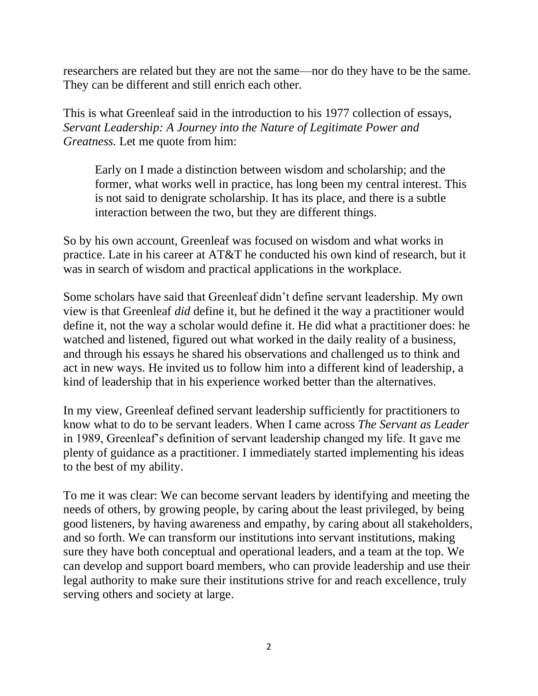researchers are related but they are not the same—nor do they have to be the same. They can be different and still enrich each other.

This is what Greenleaf said in the introduction to his 1977 collection of essays, *Servant Leadership: A Journey into the Nature of Legitimate Power and Greatness.* Let me quote from him:

Early on I made a distinction between wisdom and scholarship; and the former, what works well in practice, has long been my central interest. This is not said to denigrate scholarship. It has its place, and there is a subtle interaction between the two, but they are different things.

So by his own account, Greenleaf was focused on wisdom and what works in practice. Late in his career at AT&T he conducted his own kind of research, but it was in search of wisdom and practical applications in the workplace.

Some scholars have said that Greenleaf didn't define servant leadership. My own view is that Greenleaf *did* define it, but he defined it the way a practitioner would define it, not the way a scholar would define it. He did what a practitioner does: he watched and listened, figured out what worked in the daily reality of a business, and through his essays he shared his observations and challenged us to think and act in new ways. He invited us to follow him into a different kind of leadership, a kind of leadership that in his experience worked better than the alternatives.

In my view, Greenleaf defined servant leadership sufficiently for practitioners to know what to do to be servant leaders. When I came across *The Servant as Leader* in 1989, Greenleaf's definition of servant leadership changed my life. It gave me plenty of guidance as a practitioner. I immediately started implementing his ideas to the best of my ability.

To me it was clear: We can become servant leaders by identifying and meeting the needs of others, by growing people, by caring about the least privileged, by being good listeners, by having awareness and empathy, by caring about all stakeholders, and so forth. We can transform our institutions into servant institutions, making sure they have both conceptual and operational leaders, and a team at the top. We can develop and support board members, who can provide leadership and use their legal authority to make sure their institutions strive for and reach excellence, truly serving others and society at large.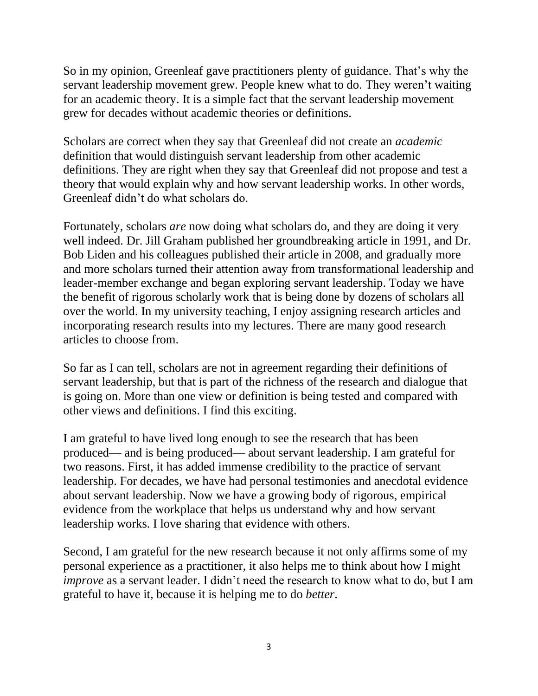So in my opinion, Greenleaf gave practitioners plenty of guidance. That's why the servant leadership movement grew. People knew what to do. They weren't waiting for an academic theory. It is a simple fact that the servant leadership movement grew for decades without academic theories or definitions.

Scholars are correct when they say that Greenleaf did not create an *academic* definition that would distinguish servant leadership from other academic definitions. They are right when they say that Greenleaf did not propose and test a theory that would explain why and how servant leadership works. In other words, Greenleaf didn't do what scholars do.

Fortunately, scholars *are* now doing what scholars do, and they are doing it very well indeed. Dr. Jill Graham published her groundbreaking article in 1991, and Dr. Bob Liden and his colleagues published their article in 2008, and gradually more and more scholars turned their attention away from transformational leadership and leader-member exchange and began exploring servant leadership. Today we have the benefit of rigorous scholarly work that is being done by dozens of scholars all over the world. In my university teaching, I enjoy assigning research articles and incorporating research results into my lectures. There are many good research articles to choose from.

So far as I can tell, scholars are not in agreement regarding their definitions of servant leadership, but that is part of the richness of the research and dialogue that is going on. More than one view or definition is being tested and compared with other views and definitions. I find this exciting.

I am grateful to have lived long enough to see the research that has been produced— and is being produced— about servant leadership. I am grateful for two reasons. First, it has added immense credibility to the practice of servant leadership. For decades, we have had personal testimonies and anecdotal evidence about servant leadership. Now we have a growing body of rigorous, empirical evidence from the workplace that helps us understand why and how servant leadership works. I love sharing that evidence with others.

Second, I am grateful for the new research because it not only affirms some of my personal experience as a practitioner, it also helps me to think about how I might *improve* as a servant leader. I didn't need the research to know what to do, but I am grateful to have it, because it is helping me to do *better*.